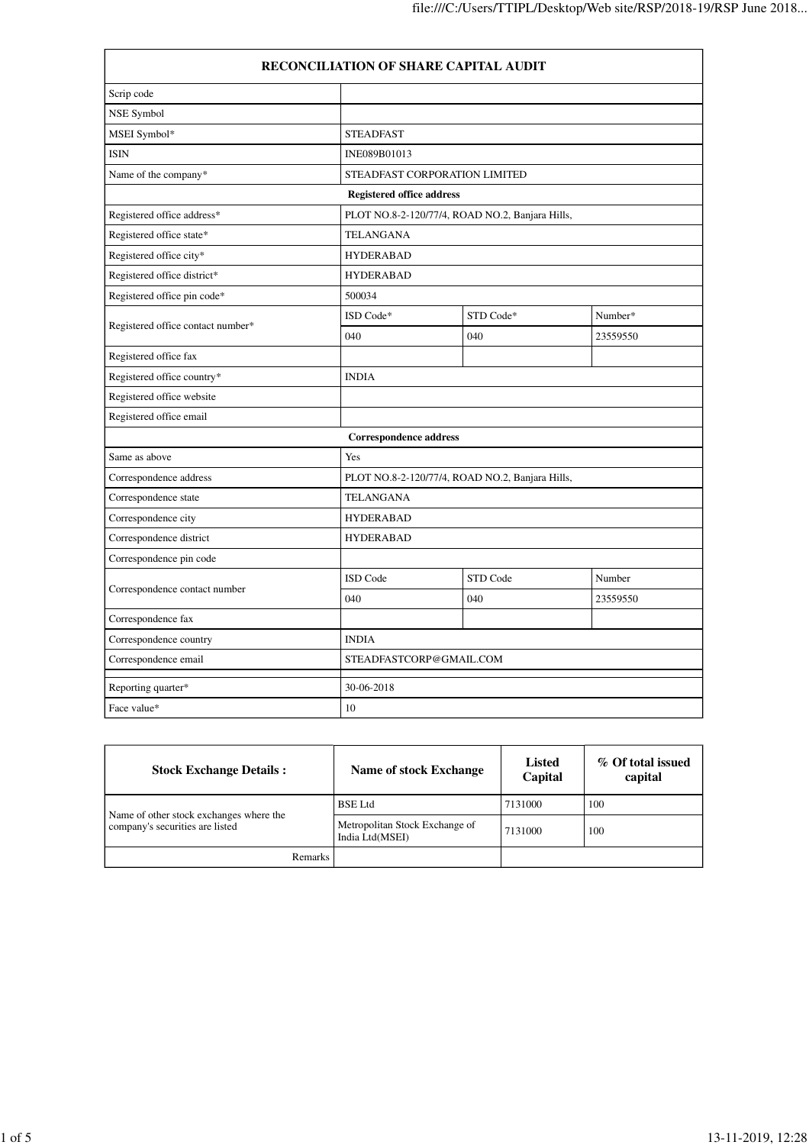| <b>RECONCILIATION OF SHARE CAPITAL AUDIT</b> |                                  |                                                 |          |  |
|----------------------------------------------|----------------------------------|-------------------------------------------------|----------|--|
| Scrip code                                   |                                  |                                                 |          |  |
| NSE Symbol                                   |                                  |                                                 |          |  |
| MSEI Symbol*                                 | <b>STEADFAST</b>                 |                                                 |          |  |
| <b>ISIN</b>                                  | INE089B01013                     |                                                 |          |  |
| Name of the company*                         |                                  | STEADFAST CORPORATION LIMITED                   |          |  |
|                                              | <b>Registered office address</b> |                                                 |          |  |
| Registered office address*                   |                                  | PLOT NO.8-2-120/77/4, ROAD NO.2, Banjara Hills, |          |  |
| Registered office state*                     | TELANGANA                        |                                                 |          |  |
| Registered office city*                      | <b>HYDERABAD</b>                 |                                                 |          |  |
| Registered office district*                  | <b>HYDERABAD</b>                 |                                                 |          |  |
| Registered office pin code*                  | 500034                           |                                                 |          |  |
|                                              | ISD Code*                        | STD Code*                                       | Number*  |  |
| Registered office contact number*            | 040                              | 040                                             | 23559550 |  |
| Registered office fax                        |                                  |                                                 |          |  |
| Registered office country*                   | <b>INDIA</b>                     |                                                 |          |  |
| Registered office website                    |                                  |                                                 |          |  |
| Registered office email                      |                                  |                                                 |          |  |
|                                              | <b>Correspondence address</b>    |                                                 |          |  |
| Same as above                                | Yes                              |                                                 |          |  |
| Correspondence address                       |                                  | PLOT NO.8-2-120/77/4, ROAD NO.2, Banjara Hills, |          |  |
| Correspondence state                         | TELANGANA                        |                                                 |          |  |
| Correspondence city                          | <b>HYDERABAD</b>                 |                                                 |          |  |
| Correspondence district                      | <b>HYDERABAD</b>                 |                                                 |          |  |
| Correspondence pin code                      |                                  |                                                 |          |  |
|                                              | ISD Code                         | STD Code                                        | Number   |  |
| Correspondence contact number                | 040                              | 040                                             | 23559550 |  |
| Correspondence fax                           |                                  |                                                 |          |  |
| Correspondence country                       | <b>INDIA</b>                     |                                                 |          |  |
| Correspondence email                         |                                  | STEADFASTCORP@GMAIL.COM                         |          |  |
| Reporting quarter*                           | 30-06-2018                       |                                                 |          |  |
| Face value*                                  | 10                               |                                                 |          |  |

| <b>Stock Exchange Details:</b>                                             | <b>Name of stock Exchange</b>                     | Listed<br>Capital | % Of total issued<br>capital |
|----------------------------------------------------------------------------|---------------------------------------------------|-------------------|------------------------------|
| Name of other stock exchanges where the<br>company's securities are listed | <b>BSE</b> Ltd                                    | 7131000           | 100                          |
|                                                                            | Metropolitan Stock Exchange of<br>India Ltd(MSEI) | 7131000           | 100                          |
| Remarks                                                                    |                                                   |                   |                              |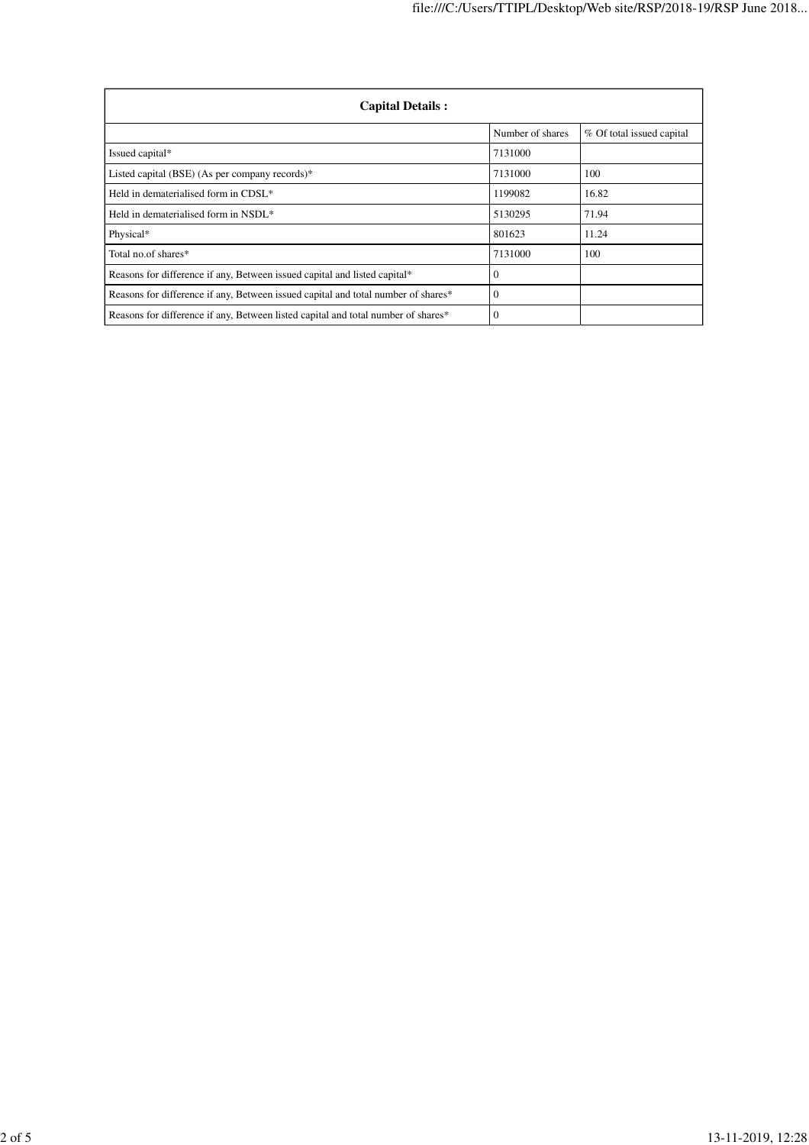| <b>Capital Details:</b>                                                           |                  |                           |
|-----------------------------------------------------------------------------------|------------------|---------------------------|
|                                                                                   | Number of shares | % Of total issued capital |
| Issued capital*                                                                   | 7131000          |                           |
| Listed capital (BSE) (As per company records)*                                    | 7131000          | 100                       |
| Held in dematerialised form in CDSL*                                              | 1199082          | 16.82                     |
| Held in dematerialised form in NSDL*                                              | 5130295          | 71.94                     |
| Physical*                                                                         | 801623           | 11.24                     |
| Total no of shares*                                                               | 7131000          | 100                       |
| Reasons for difference if any, Between issued capital and listed capital*         | $\mathbf{0}$     |                           |
| Reasons for difference if any, Between issued capital and total number of shares* | $\Omega$         |                           |
| Reasons for difference if any, Between listed capital and total number of shares* | $\mathbf{0}$     |                           |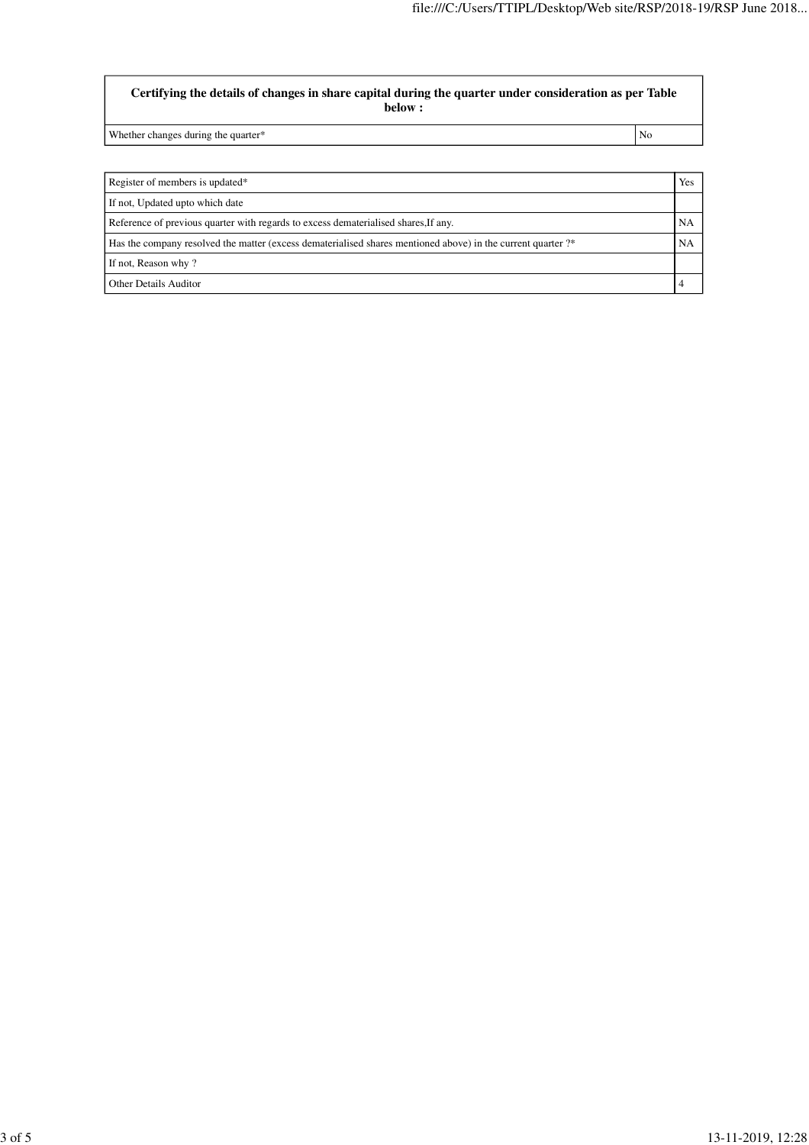**Certifying the details of changes in share capital during the quarter under consideration as per Table below :**

Whether changes during the quarter\* No

| Register of members is updated*                                                                              | Yes       |
|--------------------------------------------------------------------------------------------------------------|-----------|
| If not, Updated upto which date                                                                              |           |
| Reference of previous quarter with regards to excess dematerialised shares. If any.                          | NA        |
| Has the company resolved the matter (excess dematerialised shares mentioned above) in the current quarter ?* | <b>NA</b> |
| If not, Reason why?                                                                                          |           |
| Other Details Auditor                                                                                        |           |
|                                                                                                              |           |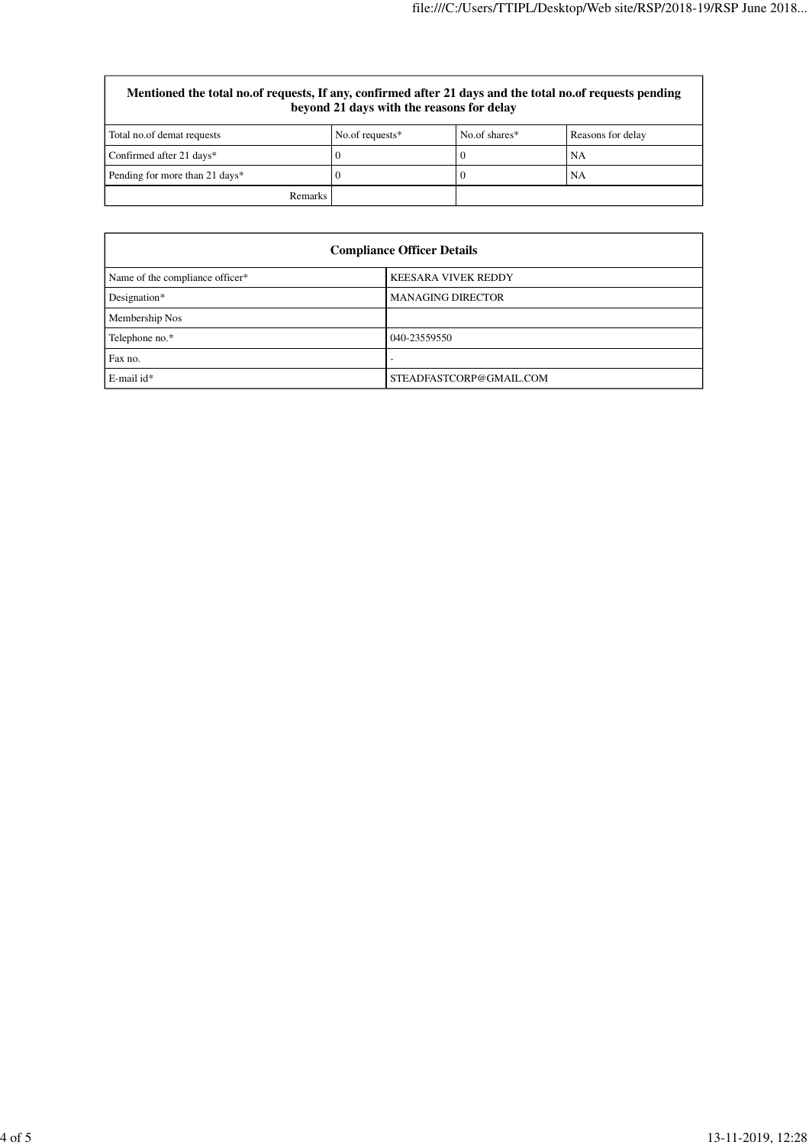## **Mentioned the total no.of requests, If any, confirmed after 21 days and the total no.of requests pending beyond 21 days with the reasons for delay**

| Total no.of demat requests     | No.of requests* | No.of shares* | Reasons for delay |
|--------------------------------|-----------------|---------------|-------------------|
| Confirmed after 21 days*       |                 |               | NA                |
| Pending for more than 21 days* |                 |               | NA                |
| <b>Remarks</b>                 |                 |               |                   |

| <b>Compliance Officer Details</b> |                            |  |
|-----------------------------------|----------------------------|--|
| Name of the compliance officer*   | <b>KEESARA VIVEK REDDY</b> |  |
| Designation*                      | <b>MANAGING DIRECTOR</b>   |  |
| Membership Nos                    |                            |  |
| Telephone no.*                    | 040-23559550               |  |
| Fax no.                           |                            |  |
| E-mail id*                        | STEADFASTCORP@GMAIL.COM    |  |